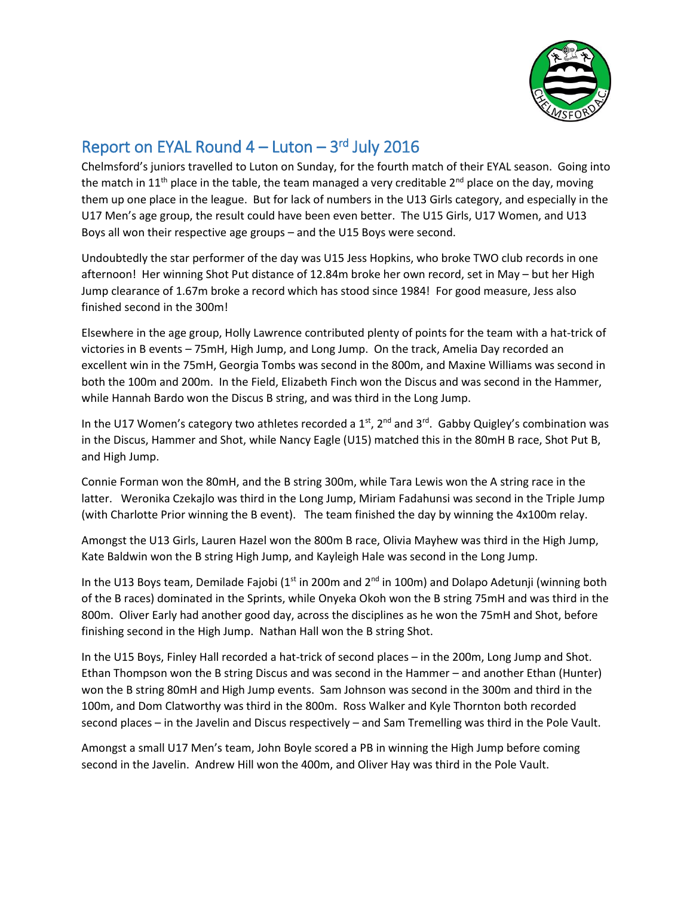

## Report on EYAL Round  $4 -$  Luton  $-3$ <sup>rd</sup> July 2016

Chelmsford's juniors travelled to Luton on Sunday, for the fourth match of their EYAL season. Going into the match in 11<sup>th</sup> place in the table, the team managed a very creditable 2<sup>nd</sup> place on the day, moving them up one place in the league. But for lack of numbers in the U13 Girls category, and especially in the U17 Men's age group, the result could have been even better. The U15 Girls, U17 Women, and U13 Boys all won their respective age groups – and the U15 Boys were second.

Undoubtedly the star performer of the day was U15 Jess Hopkins, who broke TWO club records in one afternoon! Her winning Shot Put distance of 12.84m broke her own record, set in May – but her High Jump clearance of 1.67m broke a record which has stood since 1984! For good measure, Jess also finished second in the 300m!

Elsewhere in the age group, Holly Lawrence contributed plenty of points for the team with a hat-trick of victories in B events – 75mH, High Jump, and Long Jump. On the track, Amelia Day recorded an excellent win in the 75mH, Georgia Tombs was second in the 800m, and Maxine Williams was second in both the 100m and 200m. In the Field, Elizabeth Finch won the Discus and was second in the Hammer, while Hannah Bardo won the Discus B string, and was third in the Long Jump.

In the U17 Women's category two athletes recorded a 1<sup>st</sup>, 2<sup>nd</sup> and 3<sup>rd</sup>. Gabby Quigley's combination was in the Discus, Hammer and Shot, while Nancy Eagle (U15) matched this in the 80mH B race, Shot Put B, and High Jump.

Connie Forman won the 80mH, and the B string 300m, while Tara Lewis won the A string race in the latter. Weronika Czekajlo was third in the Long Jump, Miriam Fadahunsi was second in the Triple Jump (with Charlotte Prior winning the B event). The team finished the day by winning the 4x100m relay.

Amongst the U13 Girls, Lauren Hazel won the 800m B race, Olivia Mayhew was third in the High Jump, Kate Baldwin won the B string High Jump, and Kayleigh Hale was second in the Long Jump.

In the U13 Boys team, Demilade Fajobi ( $1<sup>st</sup>$  in 200m and  $2<sup>nd</sup>$  in 100m) and Dolapo Adetunji (winning both of the B races) dominated in the Sprints, while Onyeka Okoh won the B string 75mH and was third in the 800m. Oliver Early had another good day, across the disciplines as he won the 75mH and Shot, before finishing second in the High Jump. Nathan Hall won the B string Shot.

In the U15 Boys, Finley Hall recorded a hat-trick of second places – in the 200m, Long Jump and Shot. Ethan Thompson won the B string Discus and was second in the Hammer – and another Ethan (Hunter) won the B string 80mH and High Jump events. Sam Johnson was second in the 300m and third in the 100m, and Dom Clatworthy was third in the 800m. Ross Walker and Kyle Thornton both recorded second places – in the Javelin and Discus respectively – and Sam Tremelling was third in the Pole Vault.

Amongst a small U17 Men's team, John Boyle scored a PB in winning the High Jump before coming second in the Javelin. Andrew Hill won the 400m, and Oliver Hay was third in the Pole Vault.